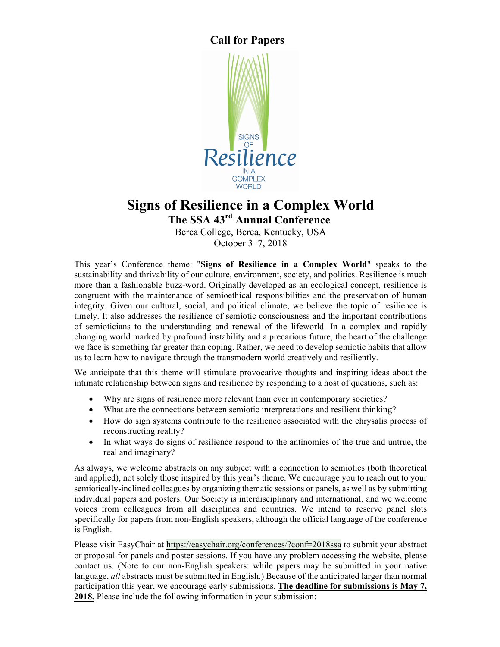## **Call for Papers**



# **Signs of Resilience in a Complex World**

**The SSA 43rd Annual Conference**

Berea College, Berea, Kentucky, USA October 3–7, 2018

This year's Conference theme: "**Signs of Resilience in a Complex World**" speaks to the sustainability and thrivability of our culture, environment, society, and politics. Resilience is much more than a fashionable buzz-word. Originally developed as an ecological concept, resilience is congruent with the maintenance of semioethical responsibilities and the preservation of human integrity. Given our cultural, social, and political climate, we believe the topic of resilience is timely. It also addresses the resilience of semiotic consciousness and the important contributions of semioticians to the understanding and renewal of the lifeworld. In a complex and rapidly changing world marked by profound instability and a precarious future, the heart of the challenge we face is something far greater than coping. Rather, we need to develop semiotic habits that allow us to learn how to navigate through the transmodern world creatively and resiliently.

We anticipate that this theme will stimulate provocative thoughts and inspiring ideas about the intimate relationship between signs and resilience by responding to a host of questions, such as:

- Why are signs of resilience more relevant than ever in contemporary societies?
- What are the connections between semiotic interpretations and resilient thinking?
- How do sign systems contribute to the resilience associated with the chrysalis process of reconstructing reality?
- In what ways do signs of resilience respond to the antinomies of the true and untrue, the real and imaginary?

As always, we welcome abstracts on any subject with a connection to semiotics (both theoretical and applied), not solely those inspired by this year's theme. We encourage you to reach out to your semiotically-inclined colleagues by organizing thematic sessions or panels, as well as by submitting individual papers and posters. Our Society is interdisciplinary and international, and we welcome voices from colleagues from all disciplines and countries. We intend to reserve panel slots specifically for papers from non-English speakers, although the official language of the conference is English.

Please visit EasyChair at https://easychair.org/conferences/?conf=2018ssa to submit your abstract or proposal for panels and poster sessions. If you have any problem accessing the website, please contact us. (Note to our non-English speakers: while papers may be submitted in your native language, *all* abstracts must be submitted in English.) Because of the anticipated larger than normal participation this year, we encourage early submissions. **The deadline for submissions is May 7, 2018.** Please include the following information in your submission: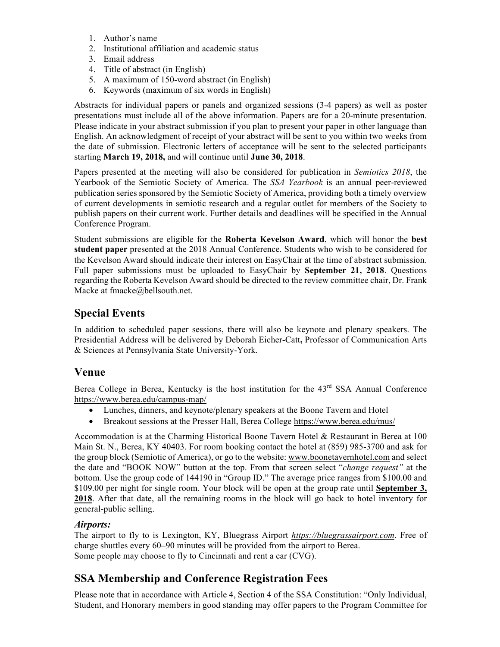- 1. Author's name
- 2. Institutional affiliation and academic status
- 3. Email address
- 4. Title of abstract (in English)
- 5. A maximum of 150-word abstract (in English)
- 6. Keywords (maximum of six words in English)

Abstracts for individual papers or panels and organized sessions (3-4 papers) as well as poster presentations must include all of the above information. Papers are for a 20-minute presentation. Please indicate in your abstract submission if you plan to present your paper in other language than English. An acknowledgment of receipt of your abstract will be sent to you within two weeks from the date of submission. Electronic letters of acceptance will be sent to the selected participants starting **March 19, 2018,** and will continue until **June 30, 2018**.

Papers presented at the meeting will also be considered for publication in *Semiotics 2018*, the Yearbook of the Semiotic Society of America. The *SSA Yearbook* is an annual peer-reviewed publication series sponsored by the Semiotic Society of America, providing both a timely overview of current developments in semiotic research and a regular outlet for members of the Society to publish papers on their current work. Further details and deadlines will be specified in the Annual Conference Program.

Student submissions are eligible for the **Roberta Kevelson Award**, which will honor the **best student paper** presented at the 2018 Annual Conference. Students who wish to be considered for the Kevelson Award should indicate their interest on EasyChair at the time of abstract submission. Full paper submissions must be uploaded to EasyChair by **September 21, 2018**. Questions regarding the Roberta Kevelson Award should be directed to the review committee chair, Dr. Frank Macke at fmacke@bellsouth.net.

# **Special Events**

In addition to scheduled paper sessions, there will also be keynote and plenary speakers. The Presidential Address will be delivered by Deborah Eicher-Catt**,** Professor of Communication Arts & Sciences at Pennsylvania State University-York.

### **Venue**

Berea College in Berea, Kentucky is the host institution for the 43<sup>rd</sup> SSA Annual Conference https://www.berea.edu/campus-map/

- Lunches, dinners, and keynote/plenary speakers at the Boone Tavern and Hotel
- Breakout sessions at the Presser Hall, Berea College https://www.berea.edu/mus/

Accommodation is at the Charming Historical Boone Tavern Hotel & Restaurant in Berea at 100 Main St. N., Berea, KY 40403. For room booking contact the hotel at (859) 985-3700 and ask for the group block (Semiotic of America), or go to the website: www.boonetavernhotel.com and select the date and "BOOK NOW" button at the top. From that screen select "*change request"* at the bottom. Use the group code of 144190 in "Group ID." The average price ranges from \$100.00 and \$109.00 per night for single room. Your block will be open at the group rate until **September 3, 2018**. After that date, all the remaining rooms in the block will go back to hotel inventory for general-public selling.

### *Airports:*

The airport to fly to is Lexington, KY, Bluegrass Airport *https://bluegrassairport.com*. Free of charge shuttles every 60–90 minutes will be provided from the airport to Berea. Some people may choose to fly to Cincinnati and rent a car (CVG).

# **SSA Membership and Conference Registration Fees**

Please note that in accordance with Article 4, Section 4 of the SSA Constitution: "Only Individual, Student, and Honorary members in good standing may offer papers to the Program Committee for